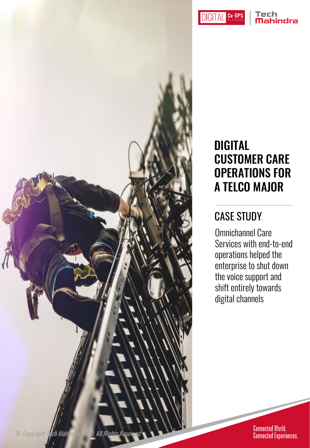Cx-OPS **DIGITAL** 

#### Tech nindra

#### DIGITAL CUSTOMER CARE OPERATIONS FOR A TELCO MAJOR

#### CASE STUDY.

Omnichannel Care Services with end-to-end operations helped the enterprise to shut down the voice support and shift entirely towards digital channels

© Copyright Tech Mahindra 2020. All Rights Reser

Connected World.<br>Connected Experiences.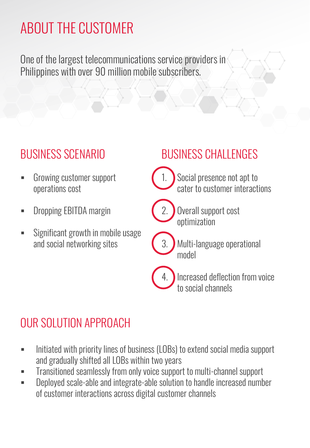# ABOUT THE CUSTOMER

One of the largest telecommunications service providers in Philippines with over 90 million mobile subscribers.

#### BUSINESS SCENARIO

- Growing customer support operations cost
- **-** Dropping EBITDA margin
- Significant growth in mobile usage and social networking sites

#### BUSINESS CHALLENGES

- 
- Social presence not apt to cater to customer interactions



- Overall support cost optimization
- - Multi-language operational model



4. Increased deflection from voice to social channels

### OUR SOLUTION APPROACH

- Initiated with priority lines of business (LOBs) to extend social media support and gradually shifted all LOBs within two years
- **Transitioned seamlessly from only voice support to multi-channel support**
- **EXEC** Deployed scale-able and integrate-able solution to handle increased number of customer interactions across digital customer channels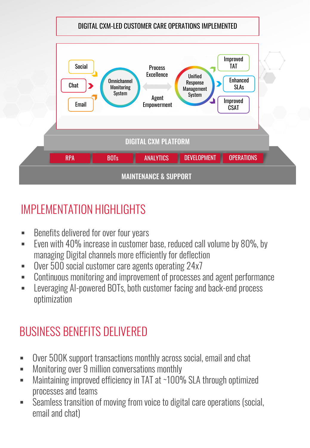

#### IMPLEMENTATION HIGHLIGHTS

- **Benefits delivered for over four years**
- **E** Even with 40% increase in customer base, reduced call volume by 80%, by managing Digital channels more efficiently for deflection
- Over 500 social customer care agents operating 24x7
- Continuous monitoring and improvement of processes and agent performance
- Leveraging AI-powered BOTs, both customer facing and back-end process optimization

## BUSINESS BENEFITS DELIVERED

- Over 500K support transactions monthly across social, email and chat
- Monitoring over 9 million conversations monthly
- Maintaining improved efficiency in TAT at ~100% SLA through optimized processes and teams
- Seamless transition of moving from voice to digital care operations (social, email and chat)